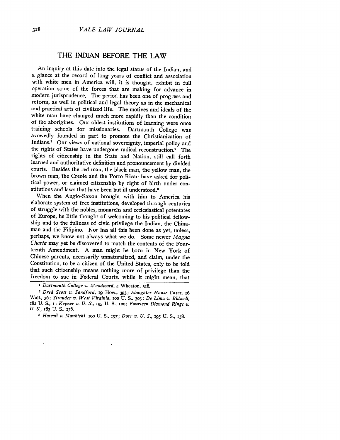## THE INDIAN BEFORE THE LAW

An inquiry at this date into the legal status of the Indian, and a glance at the record of long years of conflict and association with white men in America will. it is thought, exhibit in full operation some of the forces that are making for advance in modern jurisprudence. The period has been one of progress and reform, as well in political and legal theory as in the mechanical and practical arts of civilized life. The motives and ideals of the white man have changed much more rapidly than the condition of the aborigines. Our oldest institutions of learning were once training schools for missionaries. Dartmouth College was avowedly founded in part to promote the Christianization of Indians.' Our views of national sovereignty, imperial policy and the rights of States have undergone radical reconstruction.<sup>2</sup> The rights of citizenship in the State and Nation, still call forth learned and authoritative definition and pronouncement by divided courts. Besides the red man, the black man, the yellow man, the brown man, 'the Creole and the Porto Rican have asked for political power, or claimed citizenship by right of birth under constitutions and laws that have been but ill understood.3

When the Anglo-Saxon brought with him to America his elaborate system of free institutions, developed through centuries of struggle with the nobles, monarchs and ecclesiastical potentates of Europe, he little thought of welcoming to his political fellowship and to the fullness of civic privilege the Indian, the Chinaman and the Filipino. Nor has all this been done as yet, unless, perhaps, we know not always what we do. Some newer *Magna Charta* may yet be discovered to match the contents of the Fourteenth Amendment. A man might be born in New York of Chinese parents, necessarily unnaturalized, and claim, under the Constitution, to be a citizen of the United States, only to be told that such citizenship means nothing more of privilege than the freedom to sue in Federal Courts. while it might mean, that

*2 Dred Scott v. Sandford, ig* How., **393;** *Slaughter House Cases, 16* Wall., 36; *Strauder v. West Virginia, 100* **U.** *S..* **303;** *De Lima v. Bidwell,* <sup>282</sup>**U.** S., **i;** *Kepner v. U. S.,* 195 **U.** S., Ioo; *Fourteen Diamond Rings v. U. S.,* 183 **U. S., 176.**

*<sup>3</sup>Hawaii v. Mankichi* **190** U. S., **297;** *Dorr v. U. S.,* **195 U.** S., **138.**

*<sup>1</sup>Dartmouth College v. Woodward,* 4 Wheaton, q18.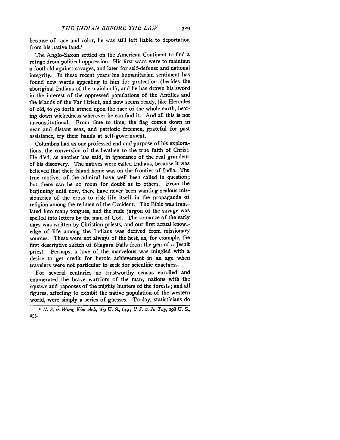because of race and color, he was still left liable to deportation from his native land.'

The Anglo-Saxon settled on the American Continent to find a refuge from political oppression. His first wars were to maintain a foothold against savages, and later for self-defense and national integrity. In these recent years his humanitarian sentiment has found **new** wards appealing to him for protection (besides the aboriginal Indians of the mainland), and he has drawn his sword in the interest of the oppressed populations of the Antilles and the islands of the Far Orient, and now seems ready, like Hercules of old, to go forth armed upon the face of the whole earth, beating down wickedness wherever he can find it. And all this is not unconstitutional. From time to time, the flag comes down in near and distant seas, and patriotic freemen, grateful for past assistance, try their hands at self-government.

Columbus had as one professed end and purpose of his explorations, the conversion of the heathen to the true faith of Christ. He died, as another has said, in ignorance of the real grandeur of his discovery. The natives were called Indians, because it was believed that their island home was on the frontier of India. The true motives of the admiral have well been called in question; but there can be no room for doubt as to others. From the beginning until now, there have never been wanting zealous missionaries of the cross to risk life itself in the propaganda of religion among the redmen of the Occident. The Bible was translated into many tongues, and the rude jargon of the savage was spelled into letters **by** the man of God. The romance of the early days was written **by** Christian priests, and our first actual knowl**edge** of life among the Indians was derived from missionary sources. These were not always of the best, as, for example, the first descriptive sketch of Niagara Falls from the pen of a Jesuit priest. Perhaps, a love of the marvelous was mingled with a desire to get credit for heroic achievement in an age when travelers were not particular to seek for scientific exactness.

For several, centuries no trustworthy census enrolled and enumerated the brave warriors of the many nations with the squaws and papooses of the mighty hunters of the forests; and all figures, affecting to exhibit the native population of the western world, were simply a series of guesses. To-day, statisticians do

<sup>4</sup> *U. S. v. Wong Kim Ark, x69* **U. S.,** 649; *U S. v. Ju Toy,* **198 U. S.,**253.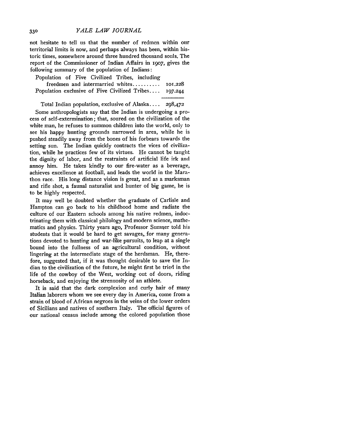*YALE LAW JOURNAL*

not hesitate to tell us that the number of redmen within our territorial limits is now, and perhaps always has been, within historic times, somewhere around three hundred thousand souls. The report of the Commissioner of Indian Affairs in 19o7, gives the following summary of the population of Indians:

Population of Five Civilized Tribes, including

| freedmen and intermarried whites 101,228              |  |
|-------------------------------------------------------|--|
| Population exclusive of Five Civilized Tribes 197.244 |  |

Total Indian population, exclusive of Alaska .... **298,472**

Some anthropologists say that the Indian is undergoing a process of self-extermination; that, soured on the civilization of the white man, he refuses to summon children into the world, only to see his happy hunting grounds narrowed in area, while he is pushed steadily away from the bones of his forbears towards the setting sun. The Indian quickly contracts the vices of civilization, while he practices few of its virtues. He cannot be taught the dignity of labor, and the restraints of artificial life irk and annoy him. He takes kindly to our fire-water as a beverage, achieves excellence at football, and leads the world in the Marathon race. His long distance vision is great, and as a marksman and rifle shot, a faunal naturalist and hunter of big game, he is to be highly respected.

It may well be doubted whether the graduate of Carlisle and Hampton can go back to his childhood home and radiate the culture of our Eastern schools among his native redmen, indoctrinating them with classical philology and modern science, mathematics and physics. Thirty years ago, Professor Sumner told his students that it would be hard to get savages,, for many generations devoted to hunting and war-like pursuits, to leap at a single bound into the fullness of an agricultural condition, without lingering at the intermediate stage of the herdsman. He, therefore, suggested that, if it was thought desirable to save the Indian to the civilization of the future, he might first be tried in the life of the cowboy of the West, working out of doors, riding horseback, and enjoying the strenuosity of an athlete.

It is said that the dark complexion and curly hair of many Italian laborers whom we see every day in America, come from a strain of blood of African negroes in the veins of the lower orders of Sicilians and natives of southern Itajy. The official figures of our national census include among the colored population those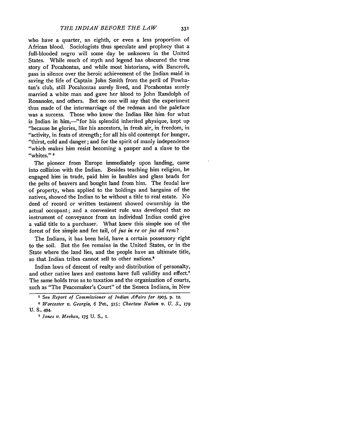who have a quarter, an eighth, or even a less proportion of African blood. Sociologists thus speculate and prophecy that a full-blooded negro will some day be unknown in the United States. While much of myth and legend has obscured the true story of Pocahontas, and while most historians, with Bancroft, pass in silence over the heroic achievement of the Indian maid in saving the life of Captain John Smith from the peril of Powhatan's club, still Pocahontas surely lived, and Pocahontas surely married a white man and gave her blood to John Randolph of Ronanoke, and others. But no one will say that the experiment thus made of the intermarriage of the redman and the paleface was a success. Those who know the Indian like him for what is Indian in him.—"for his splendid inherited physique, kept up "because he glories, like his ancestors, in fresh air, in freedom, in "activity, in feats of strength; for all his old contempt for hunger, "thirst, cold and danger; and for the spirit of manly independence "which makes him resist becoming a pauper and a slave to the "whites." **'**

The pioneer from Europe immediately upon landing, came into collision with the Indian. Besides teaching him religion, he engaged him in trade, paid him in baubles and glass beads for the pelts of beavers and bought land from him. The feudal law of property, when applied to the holdings and bargains of the natives, showed the Indian to be without a title to real estate. No deed of record or written testament showed ownership in the actual occupant; and a convenient rule was developed that no instrument of conveyance from an individual Indian could give a valid title to a purchaser. What knew this simple son of the forest of fee simple and fee tail, of *jus in re* or *jus ad rem?*

The Indians, it has been held, have a certain possessory right to the soil. But the fee remains in the United States, or in the State where the land lies, and the people have an ultimate title, so that Indian tribes cannot sell to other nations.<sup>6</sup>

Indian laws of descent of realty and- distribution of personalty, and other native laws and customs have full validity and effect.' The same holds true as to taxation and the organization of courts, such as "The Peacemaker's Court" of the Seneca Indians, in New

**<sup>5</sup>** See *Report of Commissioner of Indian Affairs for 19o5, p.* **12.**

**<sup>6</sup>***Worcester v. Georgia,* 6 Pet., **515;** *Choctaw Nation v. U. S., <sup>179</sup>* U. S., 494.

*<sup>7</sup> Jones v. Meehan,* **175 U. S.,** *i.*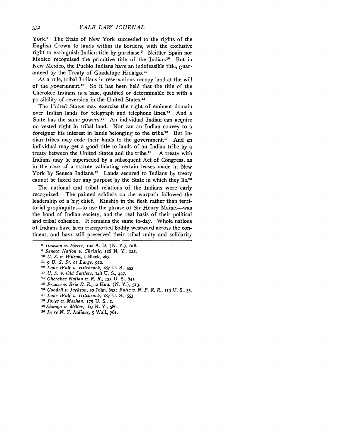York.8 The State of New York succeeded to the rights of the English Crown to lands within its borders, with the exclusive right to extinguish Indian title by purchase.<sup>9</sup> Neither Spain nor Mexico recognized the primitive title of the Indian.<sup>10</sup> But in New Mexico, the Pueblo Indians have an indefeasible title, guaranteed by the Treaty of Guadalupe Hidalgo."

As a rule, tribal Indians in reservations occupy land at the will of the government.12 So it has been held that the title of the Cherokee Indians is a base, qualified or determinable fee with a possibility of reversion in the United States.<sup>13</sup>

The United States may exercise the right of eminent domain over Indian lands for telegraph and telephone lines.<sup>14</sup> And a State has the same powers.<sup>15</sup> An individual Indian can acquire no vested right in tribal land. Nor can an Indian convey to a foreigner his interest in lands belonging to the tribe.<sup>16</sup> But Indian-tribes may cede their lands to the government.'7 And an individual may get a good title to lands of an Indian tribe by a treaty between the United States and the tribe.<sup>18</sup> A treaty with Indians may be superseded by a subsequent Act of Congress, as in the case of a statute validating certain leases made in New York by Seneca Indians." Lands secured to Indians by treaty cannot be taxed for any purpose by the State in which they lie.<sup>20</sup>

The national and tribal relations of the Indians were early recognized. The painted soldiers on the warpath followed the leadership of a big chief. Kinship in the flesh rather than territorial propinquity,-to use the phrase of Sir Henry Maine,--was the bond of Indian society, and the real basis of their political and tribal cohesion. It remains the same to-day. Whole nations of Indians have been transported bodily westward across the continent, and havc still preserved their tribal unity and solidarity

- *9 Seneca Nation v. Christie, 126* **N.** Y., **122.**
- **<sup>10</sup>***U. S. v. Wilson,* **i** Black, 267.
- **21** *9 U. S. St. at Large,* 922.
- *12 Lone Wolf v. Hitchcock,* 187 **U.** S., 553.
- *<sup>23</sup>U. S. v. Old Settlers,* 148 **U.** S., 427.
- *14 Cherokee Nation v. R. R.,* **I35** U. S.. 641.
- *<sup>15</sup> France v. Erie R. R.,, 2 Hun. (N. Y.), 513.*
- **<sup>18</sup>***Goodell v. Jackson, 2o* John, 693; *Butt: v. N. P. R. R.,* **19** U. S., 55.
- **<sup>17</sup>***Lone W'olf v. Hitchcock,* 187 U. S., **553.**
- *<sup>18</sup>Jones v. Meehan,* 175 **U.** S., *I.*
- *'o Shongo v. Miller, i69 N. Y.,* 586.
- **20** *In re N. Y. Indians,* **5** Wall., 761.

*s Jirmeson v. Pierce,* **302 A. D. (N.** Y.), 618.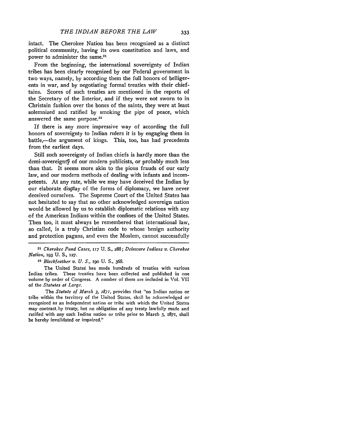intact. The Cherokee Nation has been recognized as a distinct political community, having its **own** constitution and laws, and power to administer the same.<sup>21</sup>

From the beginning, the international sovereignty of Indian tribes has been clearly recognized **by** our Federal government in two ways, namely, **by** according them the full honors of belligerents in war, and **by** negotiating formal treaties with their chieftains. Scores of such treaties are mentioned in the reports of the Secretary of the Interior, and if they were not sworn to in Christain fashion over the bones of the saints, they were at least solemnized and ratified by smoking the pipe of peace, which answered the same purpose.<sup>22</sup>

If there is any more impressive way of according the full honors of sovereignty to Indian rulers it is **by** engaging them in battle,-the argument of kings. This, too, has had precedents from the earliest days.

Still such sovereignty of Indian chiefs is hardly more than the demi-sovereignty of our modern publicists, or probably much less than that. It seems more akin to the pious frauds of our early law, and our modern methods of dealing with infants and incompetents. At any rate, while we may have deceived the Indian **by** our elaborate display of the forms of diplomacy, we have never deceived ourselves. The Supreme Court of the United States has not hesitated to say that no other acknowledged sovereign nation would be allowed by us to establish diplomatic relations with any of the American Indians within the confines of the United States. Then too, it must always be remembered that international law, so called, is a truly Christian code to whose benign authority and protection pagans, and even the Moslem, cannot successfully

The United States has made hundreds of treaties with various Indian tribes. These treaties have been collected and published in one volume by order of Congress. A number of them **are** included in Vol. VII of the *Statutes at Large.*

The *Statute of March 3,* **187r,** provides that "no Indian nation or tribe within the territory of the United States, shall **be** acknowledged or recognized as an independent nation or tribe with which the United States may contract.by treaty, but no obligation of any treaty lawfully made and ratified with any such Indian nation or tribe prior to March 3, 1871, shall be hereby invalidated or impaired."

*<sup>21</sup> Cherokee Fund Cases,* **117** U. **S.,** 288; *Delaware Indians v. Cherokee Nation,* **193 U. S., 127.**

*<sup>22</sup> Blackfeather v. U. S., 190* U. S., 368.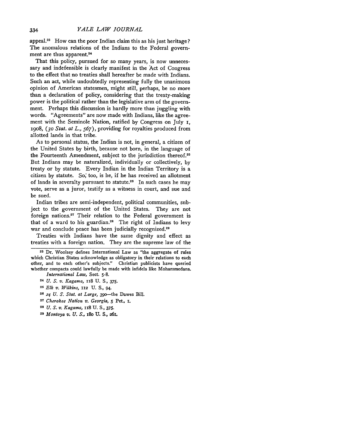appeal.<sup>23</sup> How can the poor Indian claim this as his just heritage? The anomalous relations of the Indians to the Federal government are thus apparent.<sup>24</sup>

That this policy, pursued for so many years, is now unnecessary and indefensible is clearly manifest in the Act of Congress to the effect that no treaties shall hereafter be made with Indians. Such an act, while undoubtedly representing fully the unanimous opinion of American statesmen, might still, perhaps, be no more than a declaration of policy, considering that the treaty-making power is the political rather than the legislative arm of the government. Perhaps this discussion is hardly more than juggling with words. "Agreements" are now made with Indians, like the agreement with the Seminole Nation, ratified by Congress on July i, **1908,** *(30 Stat. at L., 567),* providing for royalties produced from allotted lands in that tribe.

As to personal status, the Indian is not, in general, a citizen of the United States by birth, because not born, in the language of the Fourteenth Amendment, subject to the jurisdiction thereof.25 But Indians may be naturalized, individually or collectively, by treaty or by statute. Every Indian in the Indian Territory is a citizen by statute. *So;* too, is he, if he has received an allotment of lands in severalty pursuant to statute.<sup>26</sup> In such cases he may vote, serve as a juror, testify as a witness in court, and sue and be sued.

Indian tribes are semi-independent, political communities, subject to the government of the United States. They are not foreign nations.<sup>27</sup> Their relation to the Federal government is that of a ward to his guardian.<sup>28</sup> The right of Indians to levy war and conclude peace has been judicially recognized.<sup>29</sup>

Treaties with Indians have the same dignity and effect as treaties with a foreign nation. They are the supreme law of the

**<sup>23</sup>**Dr. Woolsey defines International Law as "the aggregate of rules which Christian States acknowledge as obligatory in their relations to each other, and to each other's subjects." Christian publicists have queried whether compacts could lawfully be made with infidels like Mohammedans. *International Law,* Sect. **5-8.**

- <sup>24</sup>*U. S. v. Kagama,* 118 U. S., 375.
- **<sup>25</sup>***Elk v. Wilkins,* **112** U. S., 94.
- **<sup>28</sup>**24 *U. S. Stat. at Large,* 39o-the Dawes Bill.
- **<sup>27</sup>***Cherokee Nation v. Georgia, 5* Pet., **i.**
- **<sup>28</sup>***U. S. v. Kagama,* ii8 U. S., 375.
- *29 Montoya v. U. S., iSo* U. S., *261.*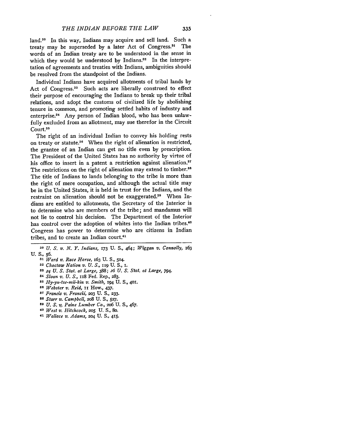land.3 " In this way, Indians may acquire and sell land. Such a treaty may be superseded **by** a later Act of Congress.' The words of an Indian treaty are to be understood in the sense in which they would be understood **by** Indians **. <sup>3</sup> <sup>2</sup>**In the interpretation of agreements and treaties with Indians, ambiguities should be resolved from the standpoint of the Indians.

Individual Indians have acquired allotments of tribal lands **by** Act of Congress.<sup>33</sup> Such acts are liberally construed to effect their purpose of encouraging the Indians to break up their tribal relations, and adopt the customs of civilized life **by** abolishing tenure in common, and promoting settled habits of industry and enterprise.<sup>34</sup> Any person of Indian blood, who has been unlawfully excluded from an allotment, may sue therefor in the Circuit Court.<sup>35</sup>

The right of an individual Indian to convey his holding rests on treaty or statute.<sup>36</sup> When the right of alienation is restricted, the grantee of an Indian can get no title even by prescription. The President of the United States has no authority by virtue of his office to insert in a patent a restriction against alienation.<sup>37</sup> The restrictions on the right of alienation may extend to timber.<sup>38</sup> The title of Indians to lands belonging to the tribe is more than the right of mere occupation, and although the actual title may be in the United States, it is held in trust for the Indians, and the restraint on alienation should not be exaggerated.<sup>39</sup> When Indians are entitled to allotments, the Secretary of the Interior is to determine who are members of the tribe; and mandamus will not lie to control his decision. The Department of the Interior has control over the adoption of whites into the Indian tribes.<sup>40</sup> Congress has power to determine who are citizens in Indian tribes, and to create an Indian court.<sup>41</sup>

- **<sup>30</sup>***U. S. v. N. Y. Indians,* i73 **U. S.,** 464; *Wiggan v. Connolly,* 163 **U.** S., **56.**
	- *<sup>31</sup>Ward v. Race Horse,* 163 U. S., 504.
	- *<sup>32</sup>Choctaw Nation v. U. S., ii* **U. S., I.**
	- *ss 24 U. S. Stat. at Large,* 388; *26 U. S. Stat. at Large, 794.*
	- *8, Sloan v. U. S.,* 1I8 Fed. Rep., 283.
	- *<sup>35</sup>Hy-yu-tse-mil-kin v. Smith,* 194 U. S., **401.**
	- *<sup>86</sup>Webster v. Reid,* **xi** How., 437.
	- *3T Francis v. Francii,* **203 U.** S., **233.**
	- **<sup>88</sup>***Starr v. Campbcll, 2o8 U. S.,* **527.**
	- *<sup>89</sup>U. S. v. Paine Lumber Co.,* **206** U. S., 467.
	- **<sup>40</sup>***West v. Hitchcock,* **205** U. S., **8o.**
	- 41 *Wallace v. Adams,* 204 U. S., 415.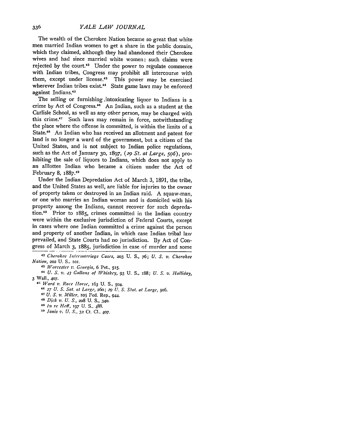The wealth of the Cherokee Nation became so great that white men married Indian women to get a share in the public domain, which they claimed, although they had abandoned their Cherokee wives and had since married white women: such claims were rejected by the court.<sup>42</sup> Under the power to regulate commerce with Indian tribes, Congress may prohibit all intercourse with them, except under license.<sup>43</sup> This power may be exercised wherever Indian tribes exist.<sup>44</sup> State game laws may be enforced against Indians.<sup>45</sup>

The selling or furnishing.intoxicating liquor to Indians is a crime by Act of Congress.<sup>46</sup> An Indian, such as a student at the Carlisle School, as well as any other person, may be charged with this crime.<sup>47</sup> Such laws may remain in force, notwithstanding the place where the offense is committed, is within the limits of a State.<sup>48</sup> An Indian who has received an allotment and patent for land is no longer a ward of the government, but a citizen of the United States, and is not subject to Indian police regulations, such as the Act of January 30, 1897, (29 St. at Large, 506), prohibiting the sale of liquors to Indians, which does not apply to an alllottee Indian who became a citizen under the Act of February 8, 1887. 4s

Under the Indian Depredation Act of March 3, 1891, the tribe, and the United States as well, are liable for injuries to the owner of property taken or destroyed in an Indian raid. A squaw-man, or one who marries an Indian woman and is domiciled with his property among the Indians, cannot recover for such depredation.<sup>50</sup> Prior to 1885, crimes committed in the Indian country were within the exclusive jurisdiction of Federal Courts, except in cases where one Indian committed a crime against the person and property of another Indian, in which case Indian tribal law prevailed, and State Courts had no jurisdiction. By Act of Congress of March **3.** 1885, jurisdiction in case of murder and some

*<sup>42</sup>*Cherokee Intermarriage Cases, **203** U. S., **76;** *U. S. v. Cherokee Nation, 202* U. S.. **I01.**

<sup>43</sup> *Worcester v. Georgia*, 6 Pet., 515.

*44 U. S. v. 43 Gallons of Whiskey,* 93 U. S., 188; *U. S. v. Holliday,* 3 Wall., 407.

*4' Ward v. Race Horse,* 163 U. S., **504.**

*46 27 U. S. Sat. at Large, 260; 29 U. S. Slat. at Large,* 5o6.

*47 U. S. v. Miller,* **io5** Fed. Rep., 944.

*<sup>48</sup>Dick v. U. S.,* **208** U. S., 340.

*49 In re Heff,* **197** U. *S.. 488.*

*r"0 Janis 1'. U. S.,* **32** Ct. CI.. 407.